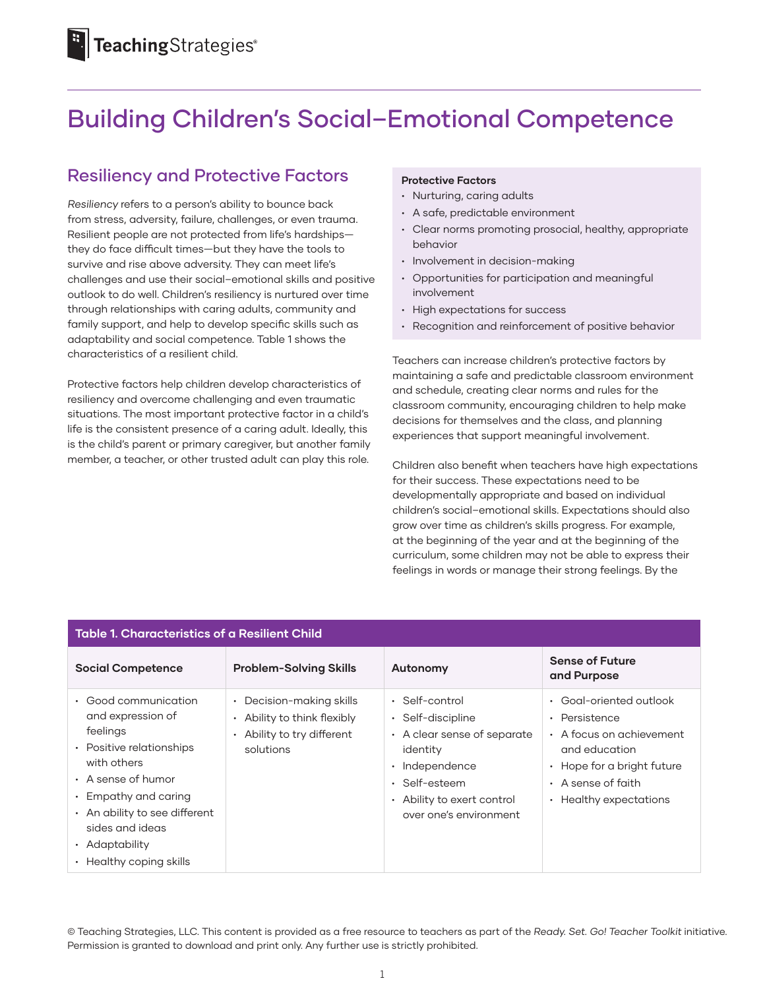# Building Children's Social–Emotional Competence

## Resiliency and Protective Factors

*Resiliency* refers to a person's ability to bounce back from stress, adversity, failure, challenges, or even trauma. Resilient people are not protected from life's hardships they do face difficult times—but they have the tools to survive and rise above adversity. They can meet life's challenges and use their social–emotional skills and positive outlook to do well. Children's resiliency is nurtured over time through relationships with caring adults, community and family support, and help to develop specific skills such as adaptability and social competence. Table 1 shows the characteristics of a resilient child.

Protective factors help children develop characteristics of resiliency and overcome challenging and even traumatic situations. The most important protective factor in a child's life is the consistent presence of a caring adult. Ideally, this is the child's parent or primary caregiver, but another family member, a teacher, or other trusted adult can play this role.

#### **Protective Factors**

- Nurturing, caring adults
- A safe, predictable environment
- Clear norms promoting prosocial, healthy, appropriate behavior
- Involvement in decision-making
- Opportunities for participation and meaningful involvement
- High expectations for success
- Recognition and reinforcement of positive behavior

Teachers can increase children's protective factors by maintaining a safe and predictable classroom environment and schedule, creating clear norms and rules for the classroom community, encouraging children to help make decisions for themselves and the class, and planning experiences that support meaningful involvement.

Children also benefit when teachers have high expectations for their success. These expectations need to be developmentally appropriate and based on individual children's social–emotional skills. Expectations should also grow over time as children's skills progress. For example, at the beginning of the year and at the beginning of the curriculum, some children may not be able to express their feelings in words or manage their strong feelings. By the

| <b>Table 1. Characteristics of a Resilient Child</b>                                                                                                                                                                                                  |                                                                                                                     |                                                                                                                                                                                 |                                                                                                                                                                                     |  |
|-------------------------------------------------------------------------------------------------------------------------------------------------------------------------------------------------------------------------------------------------------|---------------------------------------------------------------------------------------------------------------------|---------------------------------------------------------------------------------------------------------------------------------------------------------------------------------|-------------------------------------------------------------------------------------------------------------------------------------------------------------------------------------|--|
| <b>Social Competence</b>                                                                                                                                                                                                                              | <b>Problem-Solving Skills</b>                                                                                       | Autonomy                                                                                                                                                                        | <b>Sense of Future</b><br>and Purpose                                                                                                                                               |  |
| • Good communication<br>and expression of<br>feelings<br>• Positive relationships<br>with others<br>• A sense of humor<br>$\cdot$ Empathy and caring<br>• An ability to see different<br>sides and ideas<br>• Adaptability<br>• Healthy coping skills | Decision-making skills<br>٠<br>Ability to think flexibly<br>$\bullet$<br>Ability to try different<br>٠<br>solutions | $\cdot$ Self-control<br>· Self-discipline<br>• A clear sense of separate<br>identity<br>· Independence<br>• Self-esteem<br>• Ability to exert control<br>over one's environment | Goal-oriented outlook<br>Persistence<br>$\bullet$<br>A focus on achievement<br>and education<br>Hope for a bright future<br>• A sense of faith<br>Healthy expectations<br>$\bullet$ |  |

© Teaching Strategies, LLC. This content is provided as a free resource to teachers as part of the *Ready. Set. Go! Teacher Toolkit* initiative. Permission is granted to download and print only. Any further use is strictly prohibited.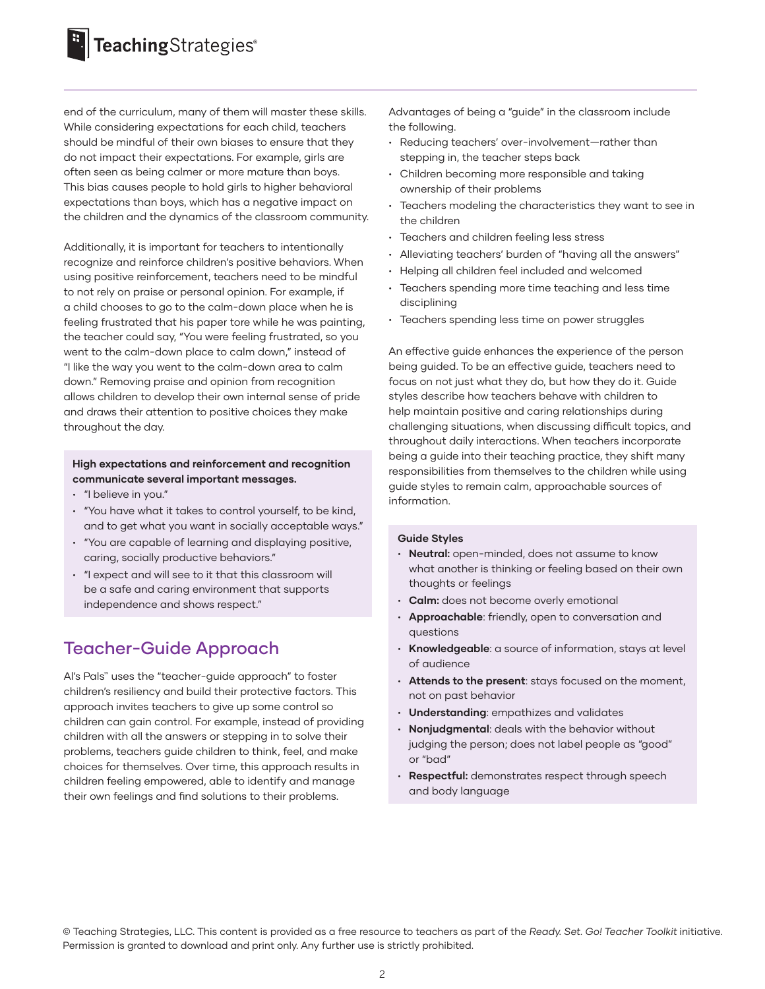end of the curriculum, many of them will master these skills. While considering expectations for each child, teachers should be mindful of their own biases to ensure that they do not impact their expectations. For example, girls are often seen as being calmer or more mature than boys. This bias causes people to hold girls to higher behavioral expectations than boys, which has a negative impact on the children and the dynamics of the classroom community.

Additionally, it is important for teachers to intentionally recognize and reinforce children's positive behaviors. When using positive reinforcement, teachers need to be mindful to not rely on praise or personal opinion. For example, if a child chooses to go to the calm-down place when he is feeling frustrated that his paper tore while he was painting, the teacher could say, "You were feeling frustrated, so you went to the calm-down place to calm down," instead of "I like the way you went to the calm-down area to calm down." Removing praise and opinion from recognition allows children to develop their own internal sense of pride and draws their attention to positive choices they make throughout the day.

### **High expectations and reinforcement and recognition communicate several important messages.**

- "I believe in you."
- "You have what it takes to control yourself, to be kind, and to get what you want in socially acceptable ways."
- "You are capable of learning and displaying positive, caring, socially productive behaviors."
- "I expect and will see to it that this classroom will be a safe and caring environment that supports independence and shows respect."

### Teacher-Guide Approach

Al's Pals™ uses the "teacher-guide approach" to foster children's resiliency and build their protective factors. This approach invites teachers to give up some control so children can gain control. For example, instead of providing children with all the answers or stepping in to solve their problems, teachers guide children to think, feel, and make choices for themselves. Over time, this approach results in children feeling empowered, able to identify and manage their own feelings and find solutions to their problems.

Advantages of being a "guide" in the classroom include the following.

- Reducing teachers' over-involvement—rather than stepping in, the teacher steps back
- Children becoming more responsible and taking ownership of their problems
- Teachers modeling the characteristics they want to see in the children
- Teachers and children feeling less stress
- Alleviating teachers' burden of "having all the answers"
- Helping all children feel included and welcomed
- Teachers spending more time teaching and less time disciplining
- Teachers spending less time on power struggles

An effective guide enhances the experience of the person being guided. To be an effective guide, teachers need to focus on not just what they do, but how they do it. Guide styles describe how teachers behave with children to help maintain positive and caring relationships during challenging situations, when discussing difficult topics, and throughout daily interactions. When teachers incorporate being a guide into their teaching practice, they shift many responsibilities from themselves to the children while using guide styles to remain calm, approachable sources of information.

#### **Guide Styles**

- **Neutral:** open-minded, does not assume to know what another is thinking or feeling based on their own thoughts or feelings
- **Calm:** does not become overly emotional
- **Approachable**: friendly, open to conversation and questions
- **Knowledgeable**: a source of information, stays at level of audience
- **Attends to the present**: stays focused on the moment, not on past behavior
- **Understanding**: empathizes and validates
- **Nonjudgmental**: deals with the behavior without judging the person; does not label people as "good" or "bad"
- **Respectful:** demonstrates respect through speech and body language

© Teaching Strategies, LLC. This content is provided as a free resource to teachers as part of the *Ready. Set. Go! Teacher Toolkit* initiative. Permission is granted to download and print only. Any further use is strictly prohibited.